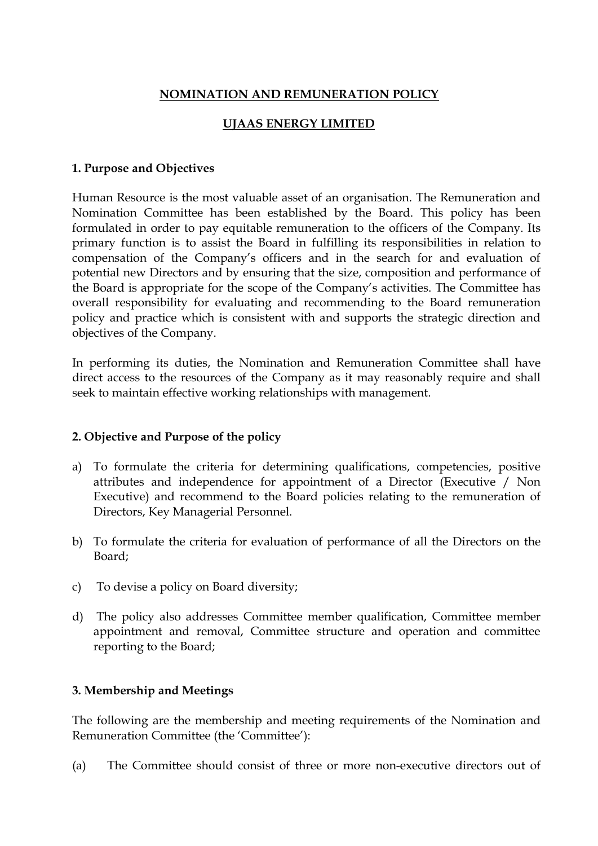# **NOMINATION AND REMUNERATION POLICY**

# **UJAAS ENERGY LIMITED**

#### **1. Purpose and Objectives**

Human Resource is the most valuable asset of an organisation. The Remuneration and Nomination Committee has been established by the Board. This policy has been formulated in order to pay equitable remuneration to the officers of the Company. Its primary function is to assist the Board in fulfilling its responsibilities in relation to compensation of the Company's officers and in the search for and evaluation of potential new Directors and by ensuring that the size, composition and performance of the Board is appropriate for the scope of the Company's activities. The Committee has overall responsibility for evaluating and recommending to the Board remuneration policy and practice which is consistent with and supports the strategic direction and objectives of the Company.

In performing its duties, the Nomination and Remuneration Committee shall have direct access to the resources of the Company as it may reasonably require and shall seek to maintain effective working relationships with management.

#### **2. Objective and Purpose of the policy**

- a) To formulate the criteria for determining qualifications, competencies, positive attributes and independence for appointment of a Director (Executive / Non Executive) and recommend to the Board policies relating to the remuneration of Directors, Key Managerial Personnel.
- b) To formulate the criteria for evaluation of performance of all the Directors on the Board;
- c) To devise a policy on Board diversity;
- d) The policy also addresses Committee member qualification, Committee member appointment and removal, Committee structure and operation and committee reporting to the Board;

## **3. Membership and Meetings**

The following are the membership and meeting requirements of the Nomination and Remuneration Committee (the 'Committee'):

(a) The Committee should consist of three or more non-executive directors out of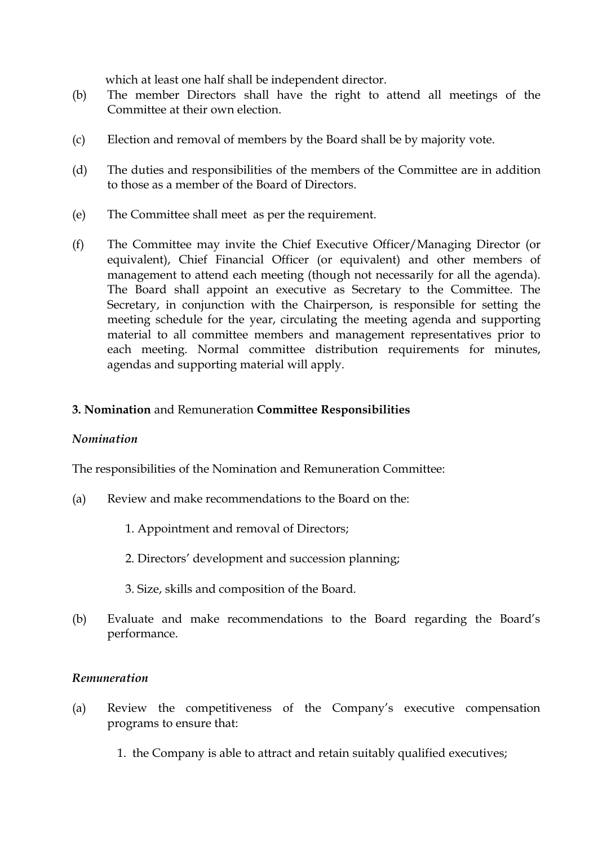which at least one half shall be independent director.

- (b) The member Directors shall have the right to attend all meetings of the Committee at their own election.
- (c) Election and removal of members by the Board shall be by majority vote.
- (d) The duties and responsibilities of the members of the Committee are in addition to those as a member of the Board of Directors.
- (e) The Committee shall meet as per the requirement.
- (f) The Committee may invite the Chief Executive Officer/Managing Director (or equivalent), Chief Financial Officer (or equivalent) and other members of management to attend each meeting (though not necessarily for all the agenda). The Board shall appoint an executive as Secretary to the Committee. The Secretary, in conjunction with the Chairperson, is responsible for setting the meeting schedule for the year, circulating the meeting agenda and supporting material to all committee members and management representatives prior to each meeting. Normal committee distribution requirements for minutes, agendas and supporting material will apply.

## **3. Nomination** and Remuneration **Committee Responsibilities**

## *Nomination*

The responsibilities of the Nomination and Remuneration Committee:

- (a) Review and make recommendations to the Board on the:
	- 1. Appointment and removal of Directors;
	- 2. Directors' development and succession planning;
	- 3. Size, skills and composition of the Board.
- (b) Evaluate and make recommendations to the Board regarding the Board's performance.

#### *Remuneration*

- (a) Review the competitiveness of the Company's executive compensation programs to ensure that:
	- 1. the Company is able to attract and retain suitably qualified executives;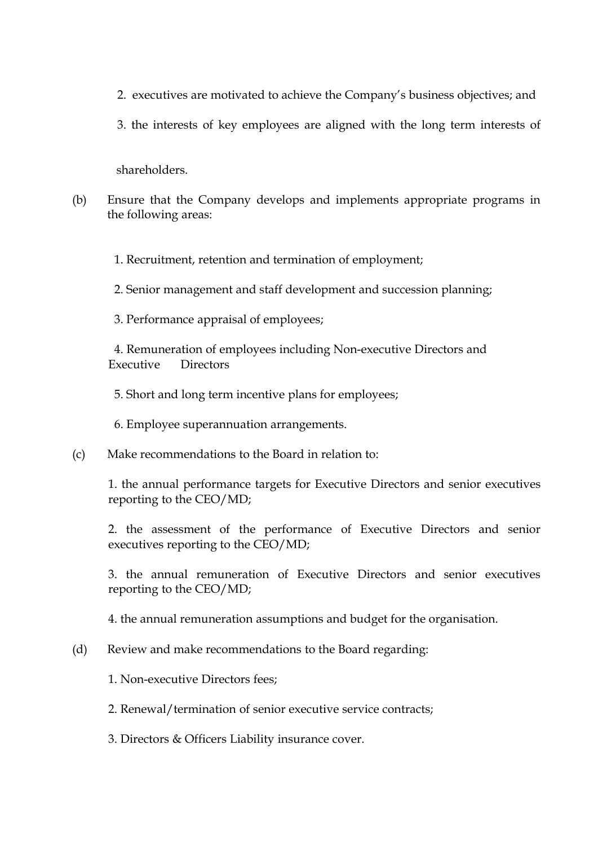- 2. executives are motivated to achieve the Company's business objectives; and
- 3. the interests of key employees are aligned with the long term interests of

shareholders.

(b) Ensure that the Company develops and implements appropriate programs in the following areas:

1. Recruitment, retention and termination of employment;

- 2. Senior management and staff development and succession planning;
- 3. Performance appraisal of employees;

4. Remuneration of employees including Non-executive Directors and Executive Directors

5. Short and long term incentive plans for employees;

6. Employee superannuation arrangements.

(c) Make recommendations to the Board in relation to:

 1. the annual performance targets for Executive Directors and senior executives reporting to the CEO/MD;

 2. the assessment of the performance of Executive Directors and senior executives reporting to the CEO/MD;

 3. the annual remuneration of Executive Directors and senior executives reporting to the CEO/MD;

4. the annual remuneration assumptions and budget for the organisation.

(d) Review and make recommendations to the Board regarding:

1. Non-executive Directors fees;

- 2. Renewal/termination of senior executive service contracts;
- 3. Directors & Officers Liability insurance cover.